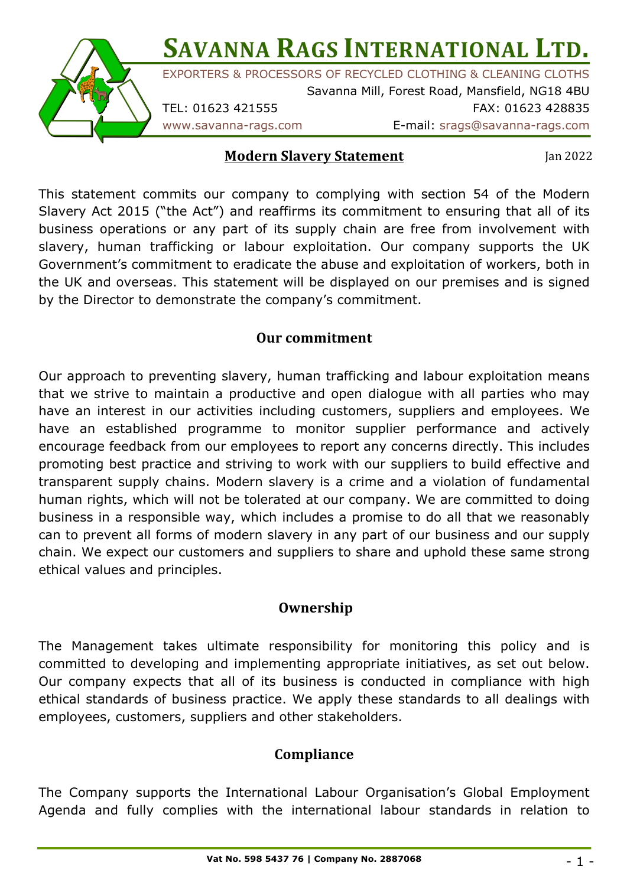

#### **Modern Slavery Statement**

Jan 2022

This statement commits our company to complying with section 54 of the Modern Slavery Act 2015 ("the Act") and reaffirms its commitment to ensuring that all of its business operations or any part of its supply chain are free from involvement with slavery, human trafficking or labour exploitation. Our company supports the UK Government's commitment to eradicate the abuse and exploitation of workers, both in the UK and overseas. This statement will be displayed on our premises and is signed by the Director to demonstrate the company's commitment.

### **Our commitment**

Our approach to preventing slavery, human trafficking and labour exploitation means that we strive to maintain a productive and open dialogue with all parties who may have an interest in our activities including customers, suppliers and employees. We have an established programme to monitor supplier performance and actively encourage feedback from our employees to report any concerns directly. This includes promoting best practice and striving to work with our suppliers to build effective and transparent supply chains. Modern slavery is a crime and a violation of fundamental human rights, which will not be tolerated at our company. We are committed to doing business in a responsible way, which includes a promise to do all that we reasonably can to prevent all forms of modern slavery in any part of our business and our supply chain. We expect our customers and suppliers to share and uphold these same strong ethical values and principles.

### **Ownership**

The Management takes ultimate responsibility for monitoring this policy and is committed to developing and implementing appropriate initiatives, as set out below. Our company expects that all of its business is conducted in compliance with high ethical standards of business practice. We apply these standards to all dealings with employees, customers, suppliers and other stakeholders.

## **Compliance**

The Company supports the International Labour Organisation's Global Employment Agenda and fully complies with the international labour standards in relation to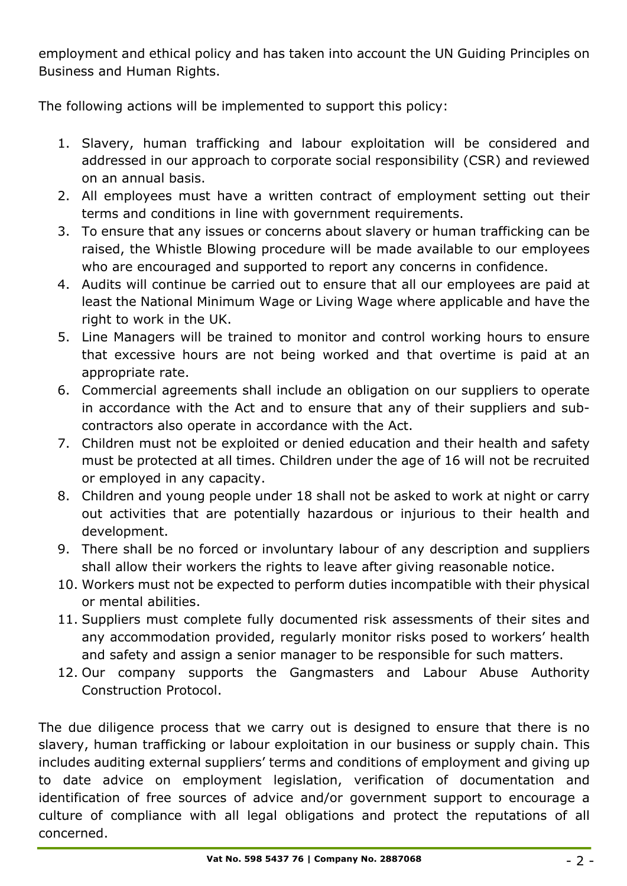employment and ethical policy and has taken into account the UN Guiding Principles on Business and Human Rights.

The following actions will be implemented to support this policy:

- 1. Slavery, human trafficking and labour exploitation will be considered and addressed in our approach to corporate social responsibility (CSR) and reviewed on an annual basis.
- 2. All employees must have a written contract of employment setting out their terms and conditions in line with government requirements.
- 3. To ensure that any issues or concerns about slavery or human trafficking can be raised, the Whistle Blowing procedure will be made available to our employees who are encouraged and supported to report any concerns in confidence.
- 4. Audits will continue be carried out to ensure that all our employees are paid at least the National Minimum Wage or Living Wage where applicable and have the right to work in the UK.
- 5. Line Managers will be trained to monitor and control working hours to ensure that excessive hours are not being worked and that overtime is paid at an appropriate rate.
- 6. Commercial agreements shall include an obligation on our suppliers to operate in accordance with the Act and to ensure that any of their suppliers and subcontractors also operate in accordance with the Act.
- 7. Children must not be exploited or denied education and their health and safety must be protected at all times. Children under the age of 16 will not be recruited or employed in any capacity.
- 8. Children and young people under 18 shall not be asked to work at night or carry out activities that are potentially hazardous or injurious to their health and development.
- 9. There shall be no forced or involuntary labour of any description and suppliers shall allow their workers the rights to leave after giving reasonable notice.
- 10. Workers must not be expected to perform duties incompatible with their physical or mental abilities.
- 11. Suppliers must complete fully documented risk assessments of their sites and any accommodation provided, regularly monitor risks posed to workers' health and safety and assign a senior manager to be responsible for such matters.
- 12. Our company supports the Gangmasters and Labour Abuse Authority Construction Protocol.

The due diligence process that we carry out is designed to ensure that there is no slavery, human trafficking or labour exploitation in our business or supply chain. This includes auditing external suppliers' terms and conditions of employment and giving up to date advice on employment legislation, verification of documentation and identification of free sources of advice and/or government support to encourage a culture of compliance with all legal obligations and protect the reputations of all concerned.